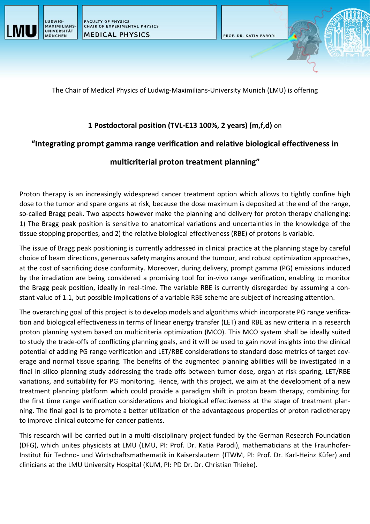



The Chair of Medical Physics of Ludwig-Maximilians-University Munich (LMU) is offering

### **1 Postdoctoral position (TVL-E13 100%, 2 years) (m,f,d)** on

# **"Integrating prompt gamma range verification and relative biological effectiveness in**

# **multicriterial proton treatment planning"**

Proton therapy is an increasingly widespread cancer treatment option which allows to tightly confine high dose to the tumor and spare organs at risk, because the dose maximum is deposited at the end of the range, so-called Bragg peak. Two aspects however make the planning and delivery for proton therapy challenging: 1) The Bragg peak position is sensitive to anatomical variations and uncertainties in the knowledge of the tissue stopping properties, and 2) the relative biological effectiveness (RBE) of protons is variable.

The issue of Bragg peak positioning is currently addressed in clinical practice at the planning stage by careful choice of beam directions, generous safety margins around the tumour, and robust optimization approaches, at the cost of sacrificing dose conformity. Moreover, during delivery, prompt gamma (PG) emissions induced by the irradiation are being considered a promising tool for in-vivo range verification, enabling to monitor the Bragg peak position, ideally in real-time. The variable RBE is currently disregarded by assuming a constant value of 1.1, but possible implications of a variable RBE scheme are subject of increasing attention.

The overarching goal of this project is to develop models and algorithms which incorporate PG range verification and biological effectiveness in terms of linear energy transfer (LET) and RBE as new criteria in a research proton planning system based on multicriteria optimization (MCO). This MCO system shall be ideally suited to study the trade-offs of conflicting planning goals, and it will be used to gain novel insights into the clinical potential of adding PG range verification and LET/RBE considerations to standard dose metrics of target coverage and normal tissue sparing. The benefits of the augmented planning abilities will be investigated in a final in-silico planning study addressing the trade-offs between tumor dose, organ at risk sparing, LET/RBE variations, and suitability for PG monitoring. Hence, with this project, we aim at the development of a new treatment planning platform which could provide a paradigm shift in proton beam therapy, combining for the first time range verification considerations and biological effectiveness at the stage of treatment planning. The final goal is to promote a better utilization of the advantageous properties of proton radiotherapy to improve clinical outcome for cancer patients.

This research will be carried out in a multi-disciplinary project funded by the German Research Foundation (DFG), which unites physicists at LMU (LMU, PI: Prof. Dr. Katia Parodi), mathematicians at the Fraunhofer-Institut für Techno- und Wirtschaftsmathematik in Kaiserslautern (ITWM, PI: Prof. Dr. Karl-Heinz Küfer) and clinicians at the LMU University Hospital (KUM, PI: PD Dr. Dr. Christian Thieke).